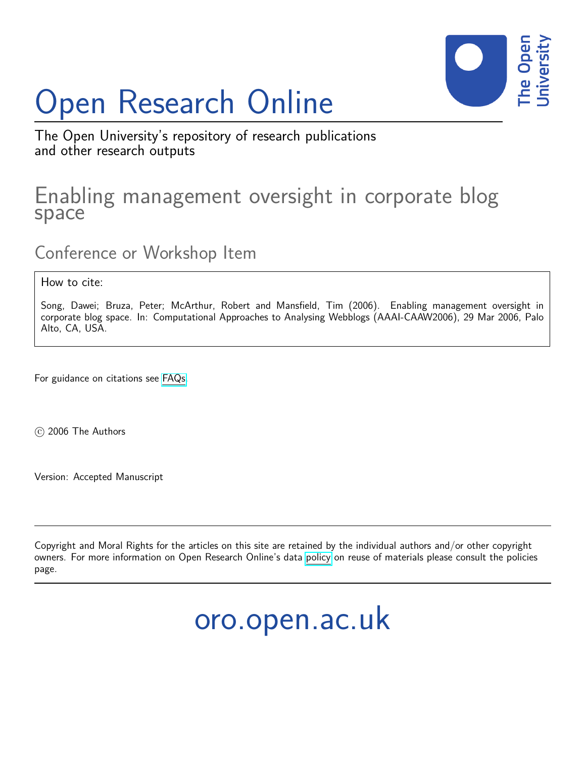# Open Research Online



The Open University's repository of research publications and other research outputs

# Enabling management oversight in corporate blog space

Conference or Workshop Item

How to cite:

Song, Dawei; Bruza, Peter; McArthur, Robert and Mansfield, Tim (2006). Enabling management oversight in corporate blog space. In: Computational Approaches to Analysing Webblogs (AAAI-CAAW2006), 29 Mar 2006, Palo Alto, CA, USA.

For guidance on citations see [FAQs.](http://oro.open.ac.uk/help/helpfaq.html)

c 2006 The Authors

Version: Accepted Manuscript

Copyright and Moral Rights for the articles on this site are retained by the individual authors and/or other copyright owners. For more information on Open Research Online's data [policy](http://oro.open.ac.uk/policies.html) on reuse of materials please consult the policies page.

oro.open.ac.uk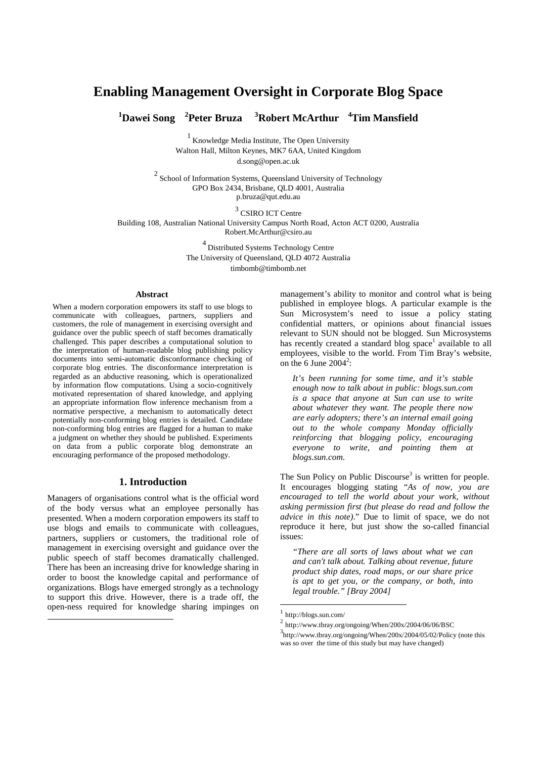## **Enabling Management Oversight in Corporate Blog Space**

**<sup>1</sup>Dawei Song <sup>2</sup>Peter Bruza <sup>3</sup>Robert McArthur <sup>4</sup>Tim Mansfield** 

<sup>1</sup> Knowledge Media Institute, The Open University Walton Hall, Milton Keynes, MK7 6AA, United Kingdom d.song@open.ac.uk

 $2$  School of Information Systems, Queensland University of Technology GPO Box 2434, Brisbane, QLD 4001, Australia p.bruza@qut.edu.au

<sup>3</sup> CSIRO ICT Centre Building 108, Australian National University Campus North Road, Acton ACT 0200, Australia Robert.McArthur@csiro.au

> <sup>4</sup>Distributed Systems Technology Centre The University of Queensland, QLD 4072 Australia timbomb@timbomb.net

#### **Abstract**

When a modern corporation empowers its staff to use blogs to communicate with colleagues, partners, suppliers and customers, the role of management in exercising oversight and guidance over the public speech of staff becomes dramatically challenged. This paper describes a computational solution to the interpretation of human-readable blog publishing policy documents into semi-automatic disconformance checking of corporate blog entries. The disconformance interpretation is regarded as an abductive reasoning, which is operationalized by information flow computations. Using a socio-cognitively motivated representation of shared knowledge, and applying an appropriate information flow inference mechanism from a normative perspective, a mechanism to automatically detect potentially non-conforming blog entries is detailed. Candidate non-conforming blog entries are flagged for a human to make a judgment on whether they should be published. Experiments on data from a public corporate blog demonstrate an encouraging performance of the proposed methodology.

#### **1. Introduction**

Managers of organisations control what is the official word of the body versus what an employee personally has presented. When a modern corporation empowers its staff to use blogs and emails to communicate with colleagues, partners, suppliers or customers, the traditional role of management in exercising oversight and guidance over the public speech of staff becomes dramatically challenged. There has been an increasing drive for knowledge sharing in order to boost the knowledge capital and performance of organizations. Blogs have emerged strongly as a technology to support this drive. However, there is a trade off, the open-ness required for knowledge sharing impinges on

 $\overline{a}$ 

management's ability to monitor and control what is being published in employee blogs. A particular example is the Sun Microsystem's need to issue a policy stating confidential matters, or opinions about financial issues relevant to SUN should not be blogged. Sun Microsystems has recently created a standard blog space<sup>1</sup> available to all employees, visible to the world. From Tim Bray's website, on the 6 June  $2004^2$ :

*It's been running for some time, and it's stable enough now to talk about in public: blogs.sun.com is a space that anyone at Sun can use to write about whatever they want. The people there now are early adopters; there's an internal email going out to the whole company Monday officially reinforcing that blogging policy, encouraging everyone to write, and pointing them at blogs.sun.com.* 

The Sun Policy on Public Discourse<sup>3</sup> is written for people. It encourages blogging stating "*As of now, you are encouraged to tell the world about your work, without asking permission first (but please do read and follow the advice in this note)*." Due to limit of space, we do not reproduce it here, but just show the so-called financial issues:

*"There are all sorts of laws about what we can and can't talk about. Talking about revenue, future product ship dates, road maps, or our share price is apt to get you, or the company, or both, into legal trouble." [Bray 2004]* 

-

<sup>1</sup> http://blogs.sun.com/

<sup>2</sup> http://www.tbray.org/ongoing/When/200x/2004/06/06/BSC

<sup>3</sup> http://www.tbray.org/ongoing/When/200x/2004/05/02/Policy (note this was so over the time of this study but may have changed)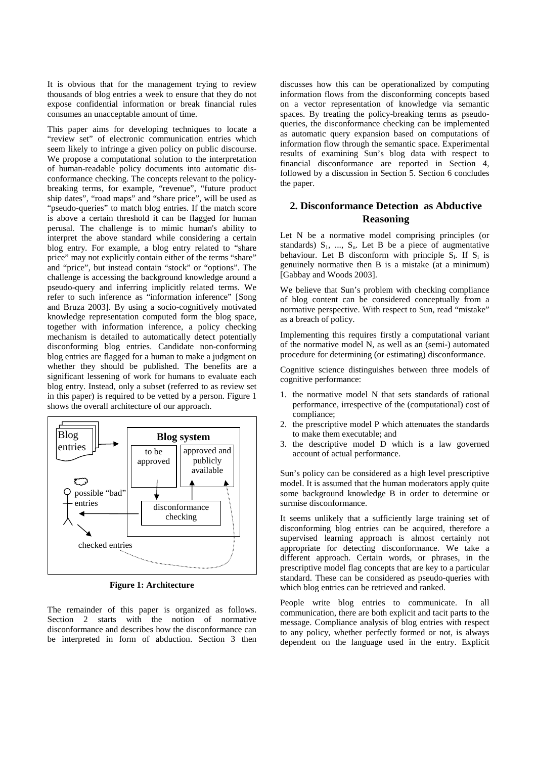It is obvious that for the management trying to review thousands of blog entries a week to ensure that they do not expose confidential information or break financial rules consumes an unacceptable amount of time.

This paper aims for developing techniques to locate a "review set" of electronic communication entries which seem likely to infringe a given policy on public discourse. We propose a computational solution to the interpretation of human-readable policy documents into automatic disconformance checking. The concepts relevant to the policybreaking terms, for example, "revenue", "future product ship dates", "road maps" and "share price", will be used as "pseudo-queries" to match blog entries. If the match score is above a certain threshold it can be flagged for human perusal. The challenge is to mimic human's ability to interpret the above standard while considering a certain blog entry. For example, a blog entry related to "share price" may not explicitly contain either of the terms "share" and "price", but instead contain "stock" or "options". The challenge is accessing the background knowledge around a pseudo-query and inferring implicitly related terms. We refer to such inference as "information inference" [Song and Bruza 2003]. By using a socio-cognitively motivated knowledge representation computed form the blog space, together with information inference, a policy checking mechanism is detailed to automatically detect potentially disconforming blog entries. Candidate non-conforming blog entries are flagged for a human to make a judgment on whether they should be published. The benefits are a significant lessening of work for humans to evaluate each blog entry. Instead, only a subset (referred to as review set in this paper) is required to be vetted by a person. Figure 1 shows the overall architecture of our approach.



**Figure 1: Architecture** 

The remainder of this paper is organized as follows. Section 2 starts with the notion of normative disconformance and describes how the disconformance can be interpreted in form of abduction. Section 3 then

discusses how this can be operationalized by computing information flows from the disconforming concepts based on a vector representation of knowledge via semantic spaces. By treating the policy-breaking terms as pseudoqueries, the disconformance checking can be implemented as automatic query expansion based on computations of information flow through the semantic space. Experimental results of examining Sun's blog data with respect to financial disconformance are reported in Section 4, followed by a discussion in Section 5. Section 6 concludes the paper.

### **2. Disconformance Detection as Abductive Reasoning**

Let N be a normative model comprising principles (or standards)  $S_1$ , ...,  $S_n$ . Let B be a piece of augmentative behaviour. Let B disconform with principle  $S_i$ . If  $S_i$  is genuinely normative then B is a mistake (at a minimum) [Gabbay and Woods 2003].

We believe that Sun's problem with checking compliance of blog content can be considered conceptually from a normative perspective. With respect to Sun, read "mistake" as a breach of policy.

Implementing this requires firstly a computational variant of the normative model N, as well as an (semi-) automated procedure for determining (or estimating) disconformance.

Cognitive science distinguishes between three models of cognitive performance:

- 1. the normative model N that sets standards of rational performance, irrespective of the (computational) cost of compliance;
- 2. the prescriptive model P which attenuates the standards to make them executable; and
- 3. the descriptive model D which is a law governed account of actual performance.

Sun's policy can be considered as a high level prescriptive model. It is assumed that the human moderators apply quite some background knowledge B in order to determine or surmise disconformance.

It seems unlikely that a sufficiently large training set of disconforming blog entries can be acquired, therefore a supervised learning approach is almost certainly not appropriate for detecting disconformance. We take a different approach. Certain words, or phrases, in the prescriptive model flag concepts that are key to a particular standard. These can be considered as pseudo-queries with which blog entries can be retrieved and ranked.

People write blog entries to communicate. In all communication, there are both explicit and tacit parts to the message. Compliance analysis of blog entries with respect to any policy, whether perfectly formed or not, is always dependent on the language used in the entry. Explicit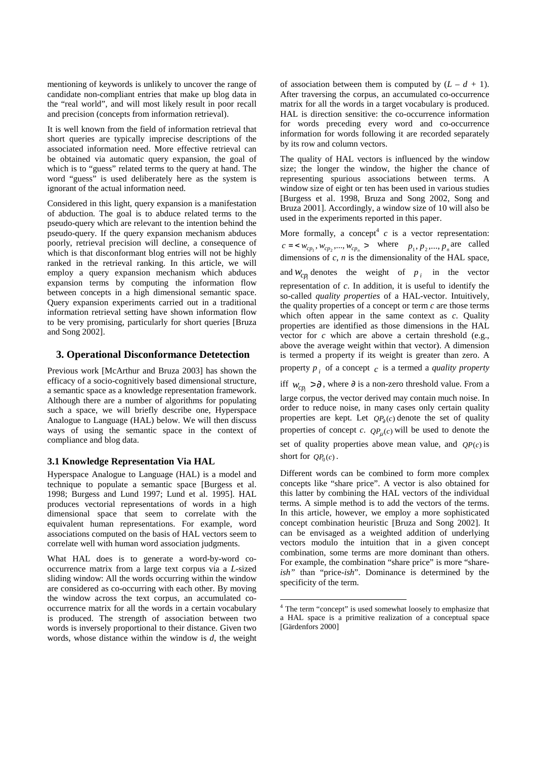mentioning of keywords is unlikely to uncover the range of candidate non-compliant entries that make up blog data in the "real world", and will most likely result in poor recall and precision (concepts from information retrieval).

It is well known from the field of information retrieval that short queries are typically imprecise descriptions of the associated information need. More effective retrieval can be obtained via automatic query expansion, the goal of which is to "guess" related terms to the query at hand. The word "guess" is used deliberately here as the system is ignorant of the actual information need.

Considered in this light, query expansion is a manifestation of abduction. The goal is to abduce related terms to the pseudo-query which are relevant to the intention behind the pseudo-query. If the query expansion mechanism abduces poorly, retrieval precision will decline, a consequence of which is that disconformant blog entries will not be highly ranked in the retrieval ranking. In this article, we will employ a query expansion mechanism which abduces expansion terms by computing the information flow between concepts in a high dimensional semantic space. Query expansion experiments carried out in a traditional information retrieval setting have shown information flow to be very promising, particularly for short queries [Bruza and Song 2002].

#### **3. Operational Disconformance Detetection**

Previous work [McArthur and Bruza 2003] has shown the efficacy of a socio-cognitively based dimensional structure, a semantic space as a knowledge representation framework. Although there are a number of algorithms for populating such a space, we will briefly describe one, Hyperspace Analogue to Language (HAL) below. We will then discuss ways of using the semantic space in the context of compliance and blog data.

#### **3.1 Knowledge Representation Via HAL**

Hyperspace Analogue to Language (HAL) is a model and technique to populate a semantic space [Burgess et al. 1998; Burgess and Lund 1997; Lund et al. 1995]. HAL produces vectorial representations of words in a high dimensional space that seem to correlate with the equivalent human representations. For example, word associations computed on the basis of HAL vectors seem to correlate well with human word association judgments.

What HAL does is to generate a word-by-word cooccurrence matrix from a large text corpus via a *L*-sized sliding window: All the words occurring within the window are considered as co-occurring with each other. By moving the window across the text corpus, an accumulated cooccurrence matrix for all the words in a certain vocabulary is produced. The strength of association between two words is inversely proportional to their distance. Given two words, whose distance within the window is *d*, the weight

of association between them is computed by  $(L - d + 1)$ . After traversing the corpus, an accumulated co-occurrence matrix for all the words in a target vocabulary is produced. HAL is direction sensitive: the co-occurrence information for words preceding every word and co-occurrence information for words following it are recorded separately by its row and column vectors.

The quality of HAL vectors is influenced by the window size; the longer the window, the higher the chance of representing spurious associations between terms. A window size of eight or ten has been used in various studies [Burgess et al. 1998, Bruza and Song 2002, Song and Bruza 2001]. Accordingly, a window size of 10 will also be used in the experiments reported in this paper.

More formally, a concept<sup>4</sup>  $c$  is a vector representation:  $c = \langle w_{cp_1}, w_{cp_2}, \dots, w_{cp_n} \rangle$  where  $p_1, p_2, \dots, p_n$  are called dimensions of  $c$ ,  $n$  is the dimensionality of the HAL space, and  $W_{\text{CP}}$  denotes the weight of  $p_i$  in the vector representation of *c*. In addition, it is useful to identify the so-called *quality properties* of a HAL-vector. Intuitively, the quality properties of a concept or term *c* are those terms which often appear in the same context as *c*. Quality properties are identified as those dimensions in the HAL vector for *c* which are above a certain threshold (e.g., above the average weight within that vector). A dimension is termed a property if its weight is greater than zero. A property *p <sup>i</sup>* of a concept *c* is a termed a *quality property*

iff  $w_{cp<sub>i</sub>} > ∂$ , where ∂ is a non-zero threshold value. From a

large corpus, the vector derived may contain much noise. In order to reduce noise, in many cases only certain quality properties are kept. Let  $QP_0(c)$  denote the set of quality properties of concept *c*.  $QP<sub>u</sub>(c)$  will be used to denote the set of quality properties above mean value, and  $OP(c)$  is short for  $OP_0(c)$ .

Different words can be combined to form more complex concepts like "share price". A vector is also obtained for this latter by combining the HAL vectors of the individual terms. A simple method is to add the vectors of the terms. In this article, however, we employ a more sophisticated concept combination heuristic [Bruza and Song 2002]. It can be envisaged as a weighted addition of underlying vectors modulo the intuition that in a given concept combination, some terms are more dominant than others. For example, the combination "share price" is more "share*ish"* than "price-*ish*". Dominance is determined by the specificity of the term.

The term "concept" is used somewhat loosely to emphasize that a HAL space is a primitive realization of a conceptual space [Gärdenfors 2000]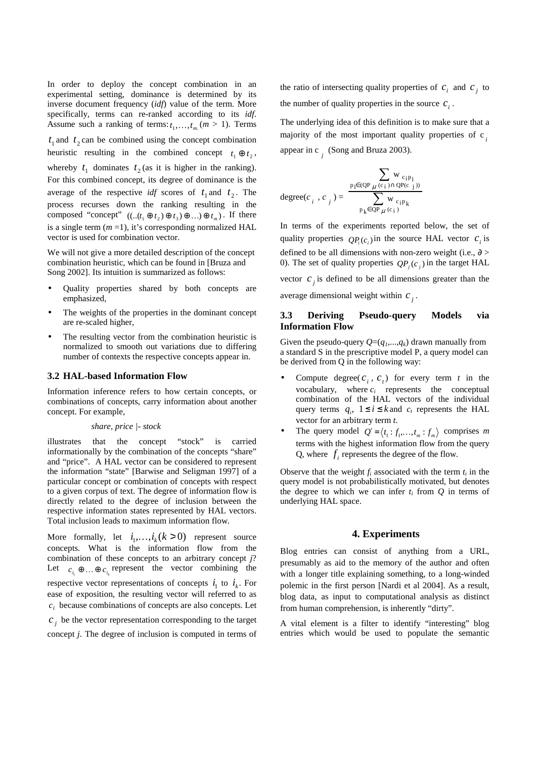In order to deploy the concept combination in an experimental setting, dominance is determined by its inverse document frequency (*idf*) value of the term. More specifically, terms can re-ranked according to its *idf*. Assume such a ranking of terms:  $t_1, \ldots, t_m$  ( $m > 1$ ). Terms

 $t_1$  and  $t_2$  can be combined using the concept combination heuristic resulting in the combined concept  $t_1 \oplus t_2$ , whereby  $t_1$  dominates  $t_2$  (as it is higher in the ranking). For this combined concept, its degree of dominance is the average of the respective *idf* scores of  $t_1$  and  $t_2$ . The process recurses down the ranking resulting in the composed "concept"  $((..(t_1 \oplus t_2) \oplus t_3) \oplus ...) \oplus t_m$ ). If there is a single term  $(m=1)$ , it's corresponding normalized HAL vector is used for combination vector.

We will not give a more detailed description of the concept combination heuristic, which can be found in [Bruza and Song 2002]. Its intuition is summarized as follows:

- Quality properties shared by both concepts are emphasized,
- The weights of the properties in the dominant concept are re-scaled higher,
- The resulting vector from the combination heuristic is normalized to smooth out variations due to differing number of contexts the respective concepts appear in.

#### **3.2 HAL-based Information Flow**

Information inference refers to how certain concepts, or combinations of concepts, carry information about another concept. For example,

#### *share*, *price |- stock*

illustrates that the concept "stock" is carried informationally by the combination of the concepts "share" and "price". A HAL vector can be considered to represent the information "state" [Barwise and Seligman 1997] of a particular concept or combination of concepts with respect to a given corpus of text. The degree of information flow is directly related to the degree of inclusion between the respective information states represented by HAL vectors. Total inclusion leads to maximum information flow.

More formally, let  $i_1, \ldots, i_k$  ( $k > 0$ ) represent source concepts. What is the information flow from the combination of these concepts to an arbitrary concept *j*? Let  $c_{i_1} \oplus ... \oplus c_{i_k}$  represent the vector combining the respective vector representations of concepts  $i_1$  to  $i_k$ . For ease of exposition, the resulting vector will referred to as  $c_i$  because combinations of concepts are also concepts. Let

 $c_j$  be the vector representation corresponding to the target concept *j*. The degree of inclusion is computed in terms of

the ratio of intersecting quality properties of  $c_i$  and  $c_j$  to the number of quality properties in the source  $c_i$ .

The underlying idea of this definition is to make sure that a majority of the most important quality properties of c *i* appear in c *j* (Song and Bruza 2003).

$$
degree(c_{i}, c_{j}) = \frac{\sum_{p_{1} \in (QP_{\mu}(c_{i}) \cap QP(c_{j}))}}{\sum_{p_{k} \in QP_{\mu}(c_{i})} w_{c_{i}p_{k}}}
$$

In terms of the experiments reported below, the set of quality properties  $QP_i(c_i)$  in the source HAL vector  $c_i$  is defined to be all dimensions with non-zero weight (i.e.,  $\partial$  > 0). The set of quality properties  $QP_j(c_j)$  in the target HAL vector  $c_j$  is defined to be all dimensions greater than the

average dimensional weight within  $c_j$ .

#### **3.3 Deriving Pseudo-query Models via Information Flow**

Given the pseudo-query  $Q=(q_1,...,q_k)$  drawn manually from a standard S in the prescriptive model P, a query model can be derived from Q in the following way:

- Compute degree( $c_i$ ,  $c_t$ ) for every term  $t$  in the vocabulary, where  $c_i$  represents the conceptual combination of the HAL vectors of the individual query terms  $q_i$ ,  $1 \le i \le k$  and  $c_t$  represents the HAL vector for an arbitrary term *t*.
- The query model  $Q' = \langle t_1 : f_1, \dots, t_m : f_m \rangle$  comprises *m* terms with the highest information flow from the query Q, where  $f_i$  represents the degree of the flow.

Observe that the weight  $f_i$  associated with the term  $t_i$  in the query model is not probabilistically motivated, but denotes the degree to which we can infer  $t_i$  from  $Q$  in terms of underlying HAL space.

#### **4. Experiments**

Blog entries can consist of anything from a URL, presumably as aid to the memory of the author and often with a longer title explaining something, to a long-winded polemic in the first person [Nardi et al 2004]. As a result, blog data, as input to computational analysis as distinct from human comprehension, is inherently "dirty".

A vital element is a filter to identify "interesting" blog entries which would be used to populate the semantic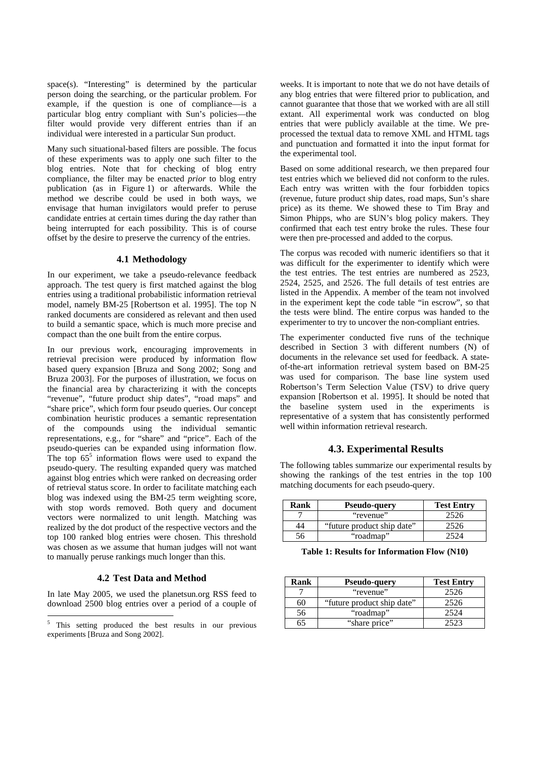space(s). "Interesting" is determined by the particular person doing the searching, or the particular problem. For example, if the question is one of compliance—is a particular blog entry compliant with Sun's policies—the filter would provide very different entries than if an individual were interested in a particular Sun product.

Many such situational-based filters are possible. The focus of these experiments was to apply one such filter to the blog entries. Note that for checking of blog entry compliance, the filter may be enacted *prior* to blog entry publication (as in Figure 1) or afterwards. While the method we describe could be used in both ways, we envisage that human invigilators would prefer to peruse candidate entries at certain times during the day rather than being interrupted for each possibility. This is of course offset by the desire to preserve the currency of the entries.

#### **4.1 Methodology**

In our experiment, we take a pseudo-relevance feedback approach. The test query is first matched against the blog entries using a traditional probabilistic information retrieval model, namely BM-25 [Robertson et al. 1995]. The top N ranked documents are considered as relevant and then used to build a semantic space, which is much more precise and compact than the one built from the entire corpus.

In our previous work, encouraging improvements in retrieval precision were produced by information flow based query expansion [Bruza and Song 2002; Song and Bruza 2003]. For the purposes of illustration, we focus on the financial area by characterizing it with the concepts "revenue", "future product ship dates", "road maps" and "share price", which form four pseudo queries. Our concept combination heuristic produces a semantic representation of the compounds using the individual semantic representations, e.g., for "share" and "price". Each of the pseudo-queries can be expanded using information flow. The top  $65^5$  information flows were used to expand the pseudo-query. The resulting expanded query was matched against blog entries which were ranked on decreasing order of retrieval status score. In order to facilitate matching each blog was indexed using the BM-25 term weighting score, with stop words removed. Both query and document vectors were normalized to unit length. Matching was realized by the dot product of the respective vectors and the top 100 ranked blog entries were chosen. This threshold was chosen as we assume that human judges will not want to manually peruse rankings much longer than this.

#### **4.2 Test Data and Method**

In late May 2005, we used the planetsun.org RSS feed to download 2500 blog entries over a period of a couple of

weeks. It is important to note that we do not have details of any blog entries that were filtered prior to publication, and cannot guarantee that those that we worked with are all still extant. All experimental work was conducted on blog entries that were publicly available at the time. We preprocessed the textual data to remove XML and HTML tags and punctuation and formatted it into the input format for the experimental tool.

Based on some additional research, we then prepared four test entries which we believed did not conform to the rules. Each entry was written with the four forbidden topics (revenue, future product ship dates, road maps, Sun's share price) as its theme. We showed these to Tim Bray and Simon Phipps, who are SUN's blog policy makers. They confirmed that each test entry broke the rules. These four were then pre-processed and added to the corpus.

The corpus was recoded with numeric identifiers so that it was difficult for the experimenter to identify which were the test entries. The test entries are numbered as 2523, 2524, 2525, and 2526. The full details of test entries are listed in the Appendix. A member of the team not involved in the experiment kept the code table "in escrow", so that the tests were blind. The entire corpus was handed to the experimenter to try to uncover the non-compliant entries.

The experimenter conducted five runs of the technique described in Section 3 with different numbers (N) of documents in the relevance set used for feedback. A stateof-the-art information retrieval system based on BM-25 was used for comparison. The base line system used Robertson's Term Selection Value (TSV) to drive query expansion [Robertson et al. 1995]. It should be noted that the baseline system used in the experiments is representative of a system that has consistently performed well within information retrieval research.

#### **4.3. Experimental Results**

The following tables summarize our experimental results by showing the rankings of the test entries in the top 100 matching documents for each pseudo-query.

| Rank | <b>Pseudo-query</b>        | <b>Test Entry</b> |
|------|----------------------------|-------------------|
|      | "revenue"                  | 2526              |
| 14   | "future product ship date" | 2526              |
| ١h   | "roadmap"                  |                   |

**Table 1: Results for Information Flow (N10)** 

| Rank | <b>Pseudo-query</b>        | <b>Test Entry</b> |
|------|----------------------------|-------------------|
|      | "revenue"                  | 2526              |
| 60   | "future product ship date" | 2526              |
| 56   | "roadmap"                  | 2524              |
| 65   | "share price"              | つちつつ              |

<sup>&</sup>lt;sup>5</sup> This setting produced the best results in our previous experiments [Bruza and Song 2002].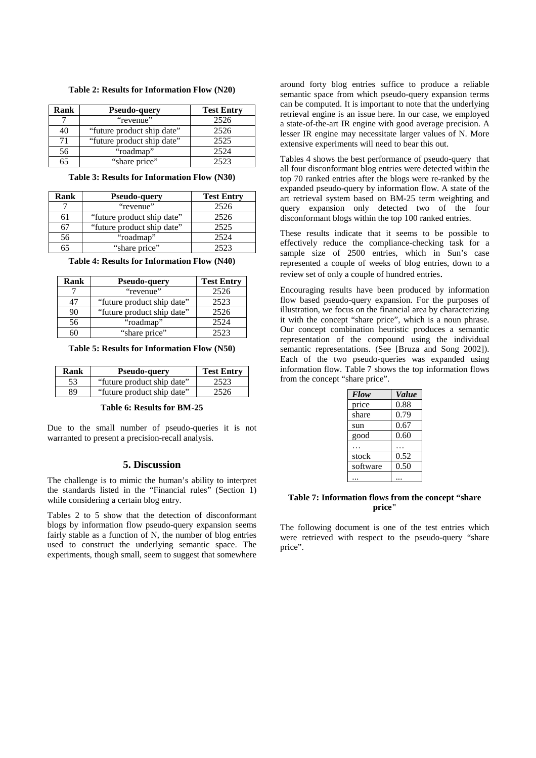|  |  |  | Table 2: Results for Information Flow (N20) |  |  |
|--|--|--|---------------------------------------------|--|--|
|--|--|--|---------------------------------------------|--|--|

| Rank | <b>Pseudo-query</b>        | <b>Test Entry</b> |
|------|----------------------------|-------------------|
|      | "revenue"                  | 2526              |
| 40   | "future product ship date" | 2526              |
| 71   | "future product ship date" | 2525              |
| 56   | "roadmap"                  | 2524              |
| 65   | "share price"              | 2523              |

**Table 3: Results for Information Flow (N30)** 

| Rank | <b>Pseudo-query</b>        | <b>Test Entry</b> |
|------|----------------------------|-------------------|
|      | "revenue"                  | 2526              |
| 61   | "future product ship date" | 2526              |
| 67   | "future product ship date" | 2525              |
| 56   | "roadmap"                  | 2524              |
| 65   | "share price"              | 2523              |

**Table 4: Results for Information Flow (N40)** 

| Rank | <b>Pseudo-query</b>        | <b>Test Entry</b> |
|------|----------------------------|-------------------|
|      | "revenue"                  | 2526              |
| 47   | "future product ship date" | 2523              |
| 90   | "future product ship date" | 2526              |
| 56   | "roadmap"                  | 2524              |
|      | "share price"              | 2523              |

**Table 5: Results for Information Flow (N50)** 

| Rank | <b>Pseudo-query</b>        | <b>Test Entry</b> |
|------|----------------------------|-------------------|
| 53   | "future product ship date" | 2523              |
| 89   | "future product ship date" | 2526              |

#### **Table 6: Results for BM-25**

Due to the small number of pseudo-queries it is not warranted to present a precision-recall analysis.

#### **5. Discussion**

The challenge is to mimic the human's ability to interpret the standards listed in the "Financial rules" (Section 1) while considering a certain blog entry.

Tables 2 to 5 show that the detection of disconformant blogs by information flow pseudo-query expansion seems fairly stable as a function of N, the number of blog entries used to construct the underlying semantic space. The experiments, though small, seem to suggest that somewhere

around forty blog entries suffice to produce a reliable semantic space from which pseudo-query expansion terms can be computed. It is important to note that the underlying retrieval engine is an issue here. In our case, we employed a state-of-the-art IR engine with good average precision. A lesser IR engine may necessitate larger values of N. More extensive experiments will need to bear this out.

Tables 4 shows the best performance of pseudo-query that all four disconformant blog entries were detected within the top 70 ranked entries after the blogs were re-ranked by the expanded pseudo-query by information flow. A state of the art retrieval system based on BM-25 term weighting and query expansion only detected two of the four disconformant blogs within the top 100 ranked entries.

These results indicate that it seems to be possible to effectively reduce the compliance-checking task for a sample size of 2500 entries, which in Sun's case represented a couple of weeks of blog entries, down to a review set of only a couple of hundred entries.

Encouraging results have been produced by information flow based pseudo-query expansion. For the purposes of illustration, we focus on the financial area by characterizing it with the concept "share price", which is a noun phrase. Our concept combination heuristic produces a semantic representation of the compound using the individual semantic representations. (See [Bruza and Song 2002]). Each of the two pseudo-queries was expanded using information flow. Table 7 shows the top information flows from the concept "share price".

| Flow     | <i>Value</i> |
|----------|--------------|
| price    | 0.88         |
| share    | 0.79         |
| sun      | 0.67         |
| good     | 0.60         |
|          |              |
| stock    | 0.52         |
| software | 0.50         |
|          |              |

#### **Table 7: Information flows from the concept "share price"**

The following document is one of the test entries which were retrieved with respect to the pseudo-query "share price".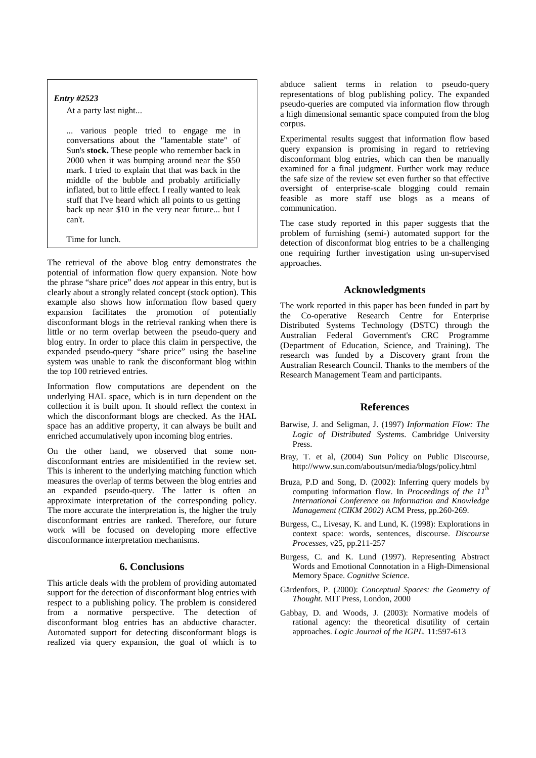#### *Entry #2523*

At a party last night...

... various people tried to engage me in conversations about the "lamentable state" of Sun's **stock.** These people who remember back in 2000 when it was bumping around near the \$50 mark. I tried to explain that that was back in the middle of the bubble and probably artificially inflated, but to little effect. I really wanted to leak stuff that I've heard which all points to us getting back up near \$10 in the very near future... but I can't.

Time for lunch.

The retrieval of the above blog entry demonstrates the potential of information flow query expansion. Note how the phrase "share price" does *not* appear in this entry, but is clearly about a strongly related concept (stock option). This example also shows how information flow based query expansion facilitates the promotion of potentially disconformant blogs in the retrieval ranking when there is little or no term overlap between the pseudo-query and blog entry. In order to place this claim in perspective, the expanded pseudo-query "share price" using the baseline system was unable to rank the disconformant blog within the top 100 retrieved entries.

Information flow computations are dependent on the underlying HAL space, which is in turn dependent on the collection it is built upon. It should reflect the context in which the disconformant blogs are checked. As the HAL space has an additive property, it can always be built and enriched accumulatively upon incoming blog entries.

On the other hand, we observed that some nondisconformant entries are misidentified in the review set. This is inherent to the underlying matching function which measures the overlap of terms between the blog entries and an expanded pseudo-query. The latter is often an approximate interpretation of the corresponding policy. The more accurate the interpretation is, the higher the truly disconformant entries are ranked. Therefore, our future work will be focused on developing more effective disconformance interpretation mechanisms.

#### **6. Conclusions**

This article deals with the problem of providing automated support for the detection of disconformant blog entries with respect to a publishing policy. The problem is considered from a normative perspective. The detection of disconformant blog entries has an abductive character. Automated support for detecting disconformant blogs is realized via query expansion, the goal of which is to

abduce salient terms in relation to pseudo-query representations of blog publishing policy. The expanded pseudo-queries are computed via information flow through a high dimensional semantic space computed from the blog corpus.

Experimental results suggest that information flow based query expansion is promising in regard to retrieving disconformant blog entries, which can then be manually examined for a final judgment. Further work may reduce the safe size of the review set even further so that effective oversight of enterprise-scale blogging could remain feasible as more staff use blogs as a means of communication.

The case study reported in this paper suggests that the problem of furnishing (semi-) automated support for the detection of disconformat blog entries to be a challenging one requiring further investigation using un-supervised approaches.

#### **Acknowledgments**

The work reported in this paper has been funded in part by the Co-operative Research Centre for Enterprise Distributed Systems Technology (DSTC) through the Australian Federal Government's CRC Programme (Department of Education, Science, and Training). The research was funded by a Discovery grant from the Australian Research Council. Thanks to the members of the Research Management Team and participants.

#### **References**

- Barwise, J. and Seligman, J. (1997) *Information Flow: The Logic of Distributed Systems.* Cambridge University Press.
- Bray, T. et al, (2004) Sun Policy on Public Discourse, http://www.sun.com/aboutsun/media/blogs/policy.html
- Bruza, P.D and Song, D. (2002): Inferring query models by computing information flow. In *Proceedings of the 11th International Conference on Information and Knowledge Management (CIKM 2002)* ACM Press, pp.260-269.
- Burgess, C., Livesay, K. and Lund, K. (1998): Explorations in context space: words, sentences, discourse. *Discourse Processes*, v25, pp.211-257
- Burgess, C. and K. Lund (1997). Representing Abstract Words and Emotional Connotation in a High-Dimensional Memory Space. *Cognitive Science*.
- Gärdenfors, P. (2000): *Conceptual Spaces: the Geometry of Thought.* MIT Press, London, 2000
- Gabbay, D. and Woods, J. (2003): Normative models of rational agency: the theoretical disutility of certain approaches. *Logic Journal of the IGPL.* 11:597-613